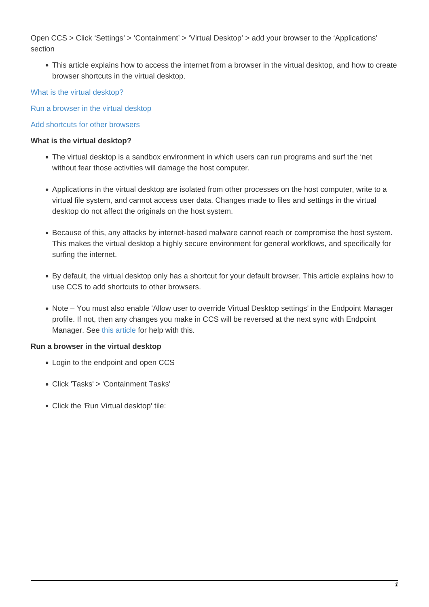Open CCS > Click 'Settings' > 'Containment' > 'Virtual Desktop' > add your browser to the 'Applications' section

This article explains how to access the internet from a browser in the virtual desktop, and how to create browser shortcuts in the virtual desktop.

## [What is the virtual desktop?](#page-0-0)

[Run a browser in the virtual desktop](#page-0-1)

## [Add shortcuts for other browsers](#page-3-0)

## <span id="page-0-0"></span>**What is the virtual desktop?**

- The virtual desktop is a sandbox environment in which users can run programs and surf the 'net without fear those activities will damage the host computer.
- Applications in the virtual desktop are isolated from other processes on the host computer, write to a virtual file system, and cannot access user data. Changes made to files and settings in the virtual desktop do not affect the originals on the host system.
- Because of this, any attacks by internet-based malware cannot reach or compromise the host system. This makes the virtual desktop a highly secure environment for general workflows, and specifically for surfing the internet.
- By default, the virtual desktop only has a shortcut for your default browser. This article explains how to use CCS to add shortcuts to other browsers.
- Note You must also enable 'Allow user to override Virtual Desktop settings' in the Endpoint Manager profile. If not, then any changes you make in CCS will be reversed at the next sync with Endpoint Manager. See [this article](https://wiki.itarian.com/frontend/web/topic/how-to-configure-virtual-desktop-settings-in-a-windows-profile) for help with this.

## <span id="page-0-1"></span>**Run a browser in the virtual desktop**

- Login to the endpoint and open CCS
- Click 'Tasks' > 'Containment Tasks'
- Click the 'Run Virtual desktop' tile: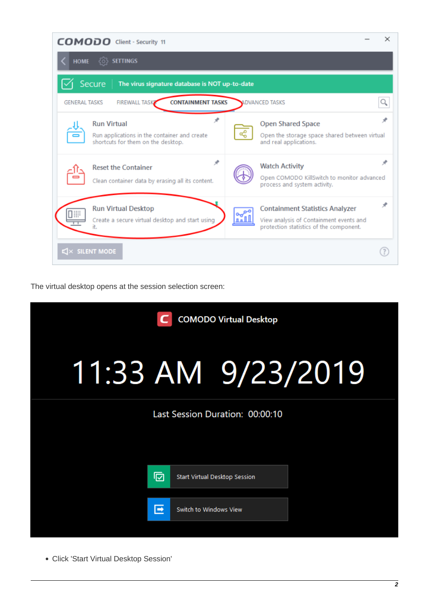| <b>COMODO</b> Client - Security 11                                                                            | ×                                                                                                                                       |
|---------------------------------------------------------------------------------------------------------------|-----------------------------------------------------------------------------------------------------------------------------------------|
| <b>SETTINGS</b><br><b>HOME</b><br>{්ර}                                                                        |                                                                                                                                         |
| Secure<br>The virus signature database is NOT up-to-date                                                      |                                                                                                                                         |
| <b>FIREWALL TASK</b><br><b>CONTAINMENT TASKS</b><br><b>GENERAL TASKS</b>                                      | <b>ADVANCED TASKS</b>                                                                                                                   |
| ж<br><b>Run Virtual</b><br>Run applications in the container and create<br>shortcuts for them on the desktop. | я<br><b>Open Shared Space</b><br>ൟഀ<br>Open the storage space shared between virtual<br>and real applications.                          |
| ⊀<br><b>Reset the Container</b><br>Clean container data by erasing all its content.                           | ж<br><b>Watch Activity</b><br>Open COMODO KillSwitch to monitor advanced<br>process and system activity.                                |
| <b>Run Virtual Desktop</b><br>I₩<br>Create a secure virtual desktop and start using<br>it.                    | Ф<br><b>Containment Statistics Analyzer</b><br>⊶ి<br>View analysis of Containment events and<br>protection statistics of the component. |
| $\mathbb{C}$ SILENT MODE                                                                                      |                                                                                                                                         |

The virtual desktop opens at the session selection screen:

| <b>COMODO Virtual Desktop</b> |                             |                                 |  |  |
|-------------------------------|-----------------------------|---------------------------------|--|--|
|                               |                             | 11:33 AM 9/23/2019              |  |  |
|                               |                             | Last Session Duration: 00:00:10 |  |  |
|                               |                             |                                 |  |  |
|                               | 冋                           | Start Virtual Desktop Session   |  |  |
|                               | 叵<br>Switch to Windows View |                                 |  |  |

Click 'Start Virtual Desktop Session'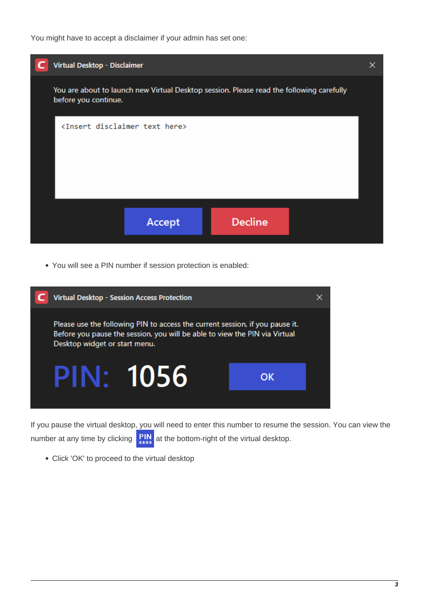You might have to accept a disclaimer if your admin has set one:



You will see a PIN number if session protection is enabled:



If you pause the virtual desktop, you will need to enter this number to resume the session. You can view the number at any time by clicking  $\frac{P}{P}$  at the bottom-right of the virtual desktop.

Click 'OK' to proceed to the virtual desktop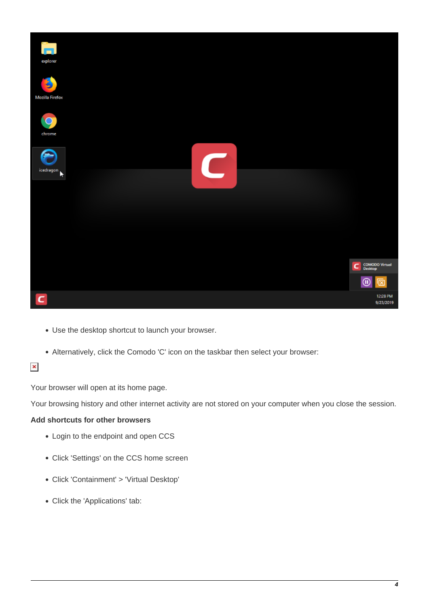

- Use the desktop shortcut to launch your browser.
- Alternatively, click the Comodo 'C' icon on the taskbar then select your browser:

# $\pmb{\times}$

Your browser will open at its home page.

Your browsing history and other internet activity are not stored on your computer when you close the session.

## <span id="page-3-0"></span>**Add shortcuts for other browsers**

- Login to the endpoint and open CCS
- Click 'Settings' on the CCS home screen
- Click 'Containment' > 'Virtual Desktop'
- Click the 'Applications' tab: